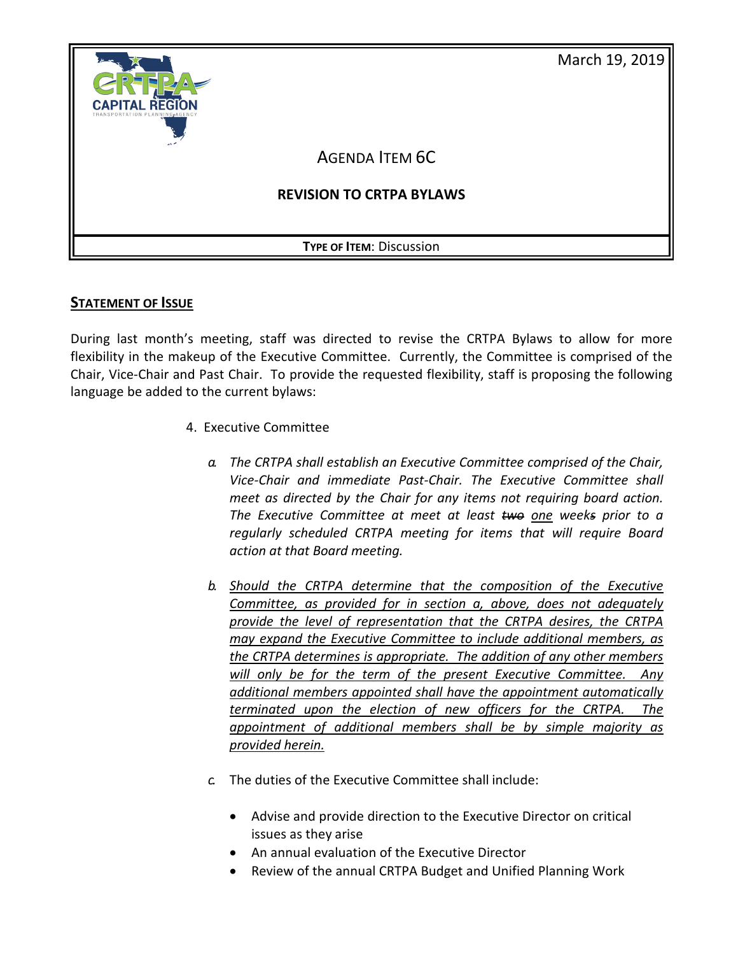

# **STATEMENT OF ISSUE**

During last month's meeting, staff was directed to revise the CRTPA Bylaws to allow for more flexibility in the makeup of the Executive Committee. Currently, the Committee is comprised of the Chair, Vice-Chair and Past Chair. To provide the requested flexibility, staff is proposing the following language be added to the current bylaws:

- 4. Executive Committee
	- *a. The CRTPA shall establish an Executive Committee comprised of the Chair, Vice-Chair and immediate Past-Chair. The Executive Committee shall meet as directed by the Chair for any items not requiring board action. The Executive Committee at meet at least two one weeks prior to a regularly scheduled CRTPA meeting for items that will require Board action at that Board meeting.*
	- *b. Should the CRTPA determine that the composition of the Executive Committee, as provided for in section a, above, does not adequately provide the level of representation that the CRTPA desires, the CRTPA may expand the Executive Committee to include additional members, as the CRTPA determines is appropriate. The addition of any other members will only be for the term of the present Executive Committee. Any additional members appointed shall have the appointment automatically terminated upon the election of new officers for the CRTPA. The appointment of additional members shall be by simple majority as provided herein.*
	- *c.* The duties of the Executive Committee shall include:
		- Advise and provide direction to the Executive Director on critical issues as they arise
		- An annual evaluation of the Executive Director
		- Review of the annual CRTPA Budget and Unified Planning Work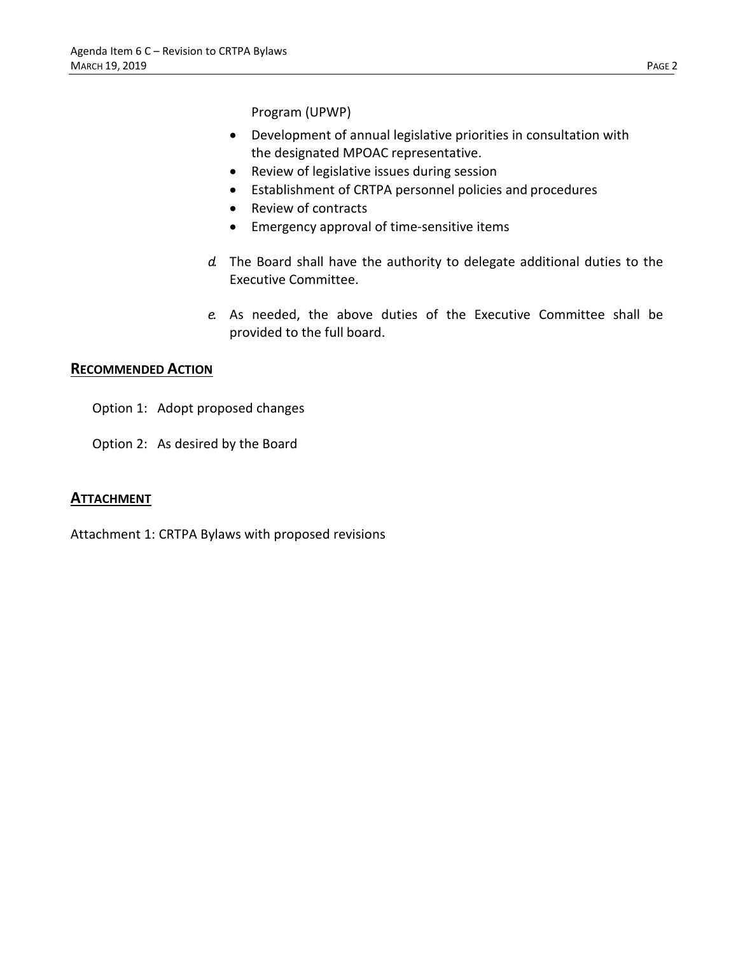Program (UPWP)

- Development of annual legislative priorities in consultation with the designated MPOAC representative.
- Review of legislative issues during session
- Establishment of CRTPA personnel policies and procedures
- Review of contracts
- Emergency approval of time-sensitive items
- *d.* The Board shall have the authority to delegate additional duties to the Executive Committee.
- *e.* As needed, the above duties of the Executive Committee shall be provided to the full board.

#### **RECOMMENDED ACTION**

- Option 1: Adopt proposed changes
- Option 2: As desired by the Board

# **ATTACHMENT**

Attachment 1: CRTPA Bylaws with proposed revisions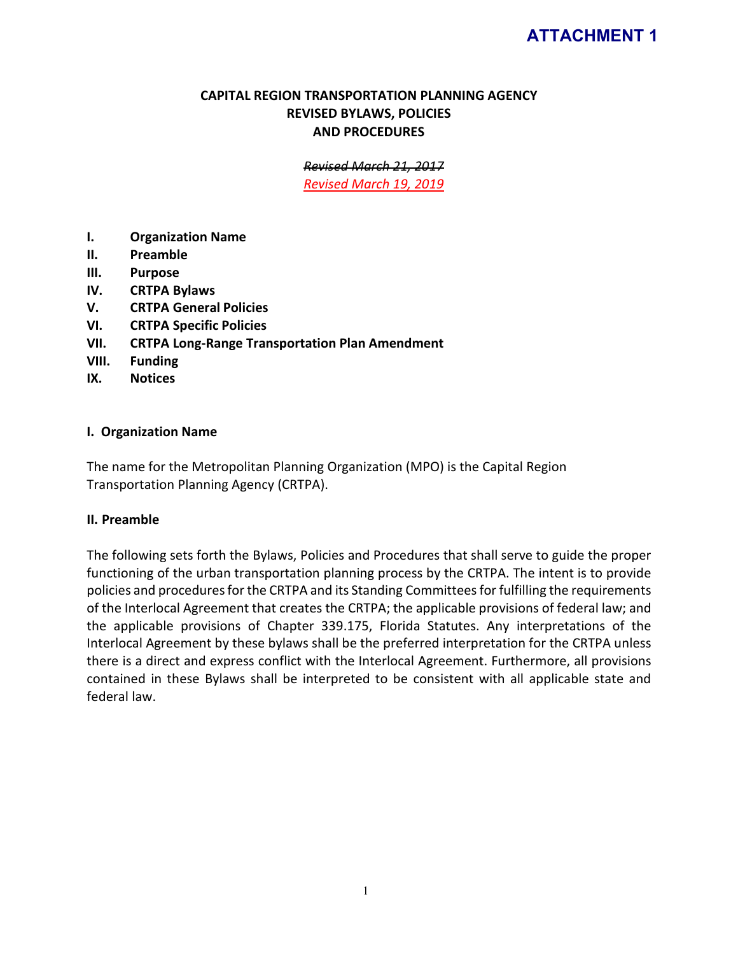# **ATTACHMENT 1**

# **CAPITAL REGION TRANSPORTATION PLANNING AGENCY REVISED BYLAWS, POLICIES AND PROCEDURES**

*Revised March 21, 2017*

*Revised March 19, 2019*

- **I. Organization Name**
- **II. Preamble**
- **III. Purpose**
- **IV. CRTPA Bylaws**
- **V. CRTPA General Policies**
- **VI. CRTPA Specific Policies**
- **VII. CRTPA Long-Range Transportation Plan Amendment**
- **VIII. Funding**
- **IX. Notices**

# **I. Organization Name**

The name for the Metropolitan Planning Organization (MPO) is the Capital Region Transportation Planning Agency (CRTPA).

#### **II. Preamble**

The following sets forth the Bylaws, Policies and Procedures that shall serve to guide the proper functioning of the urban transportation planning process by the CRTPA. The intent is to provide policies and procedures for the CRTPA and its Standing Committees for fulfilling the requirements of the Interlocal Agreement that creates the CRTPA; the applicable provisions of federal law; and the applicable provisions of Chapter 339.175, Florida Statutes. Any interpretations of the Interlocal Agreement by these bylaws shall be the preferred interpretation for the CRTPA unless there is a direct and express conflict with the Interlocal Agreement. Furthermore, all provisions contained in these Bylaws shall be interpreted to be consistent with all applicable state and federal law.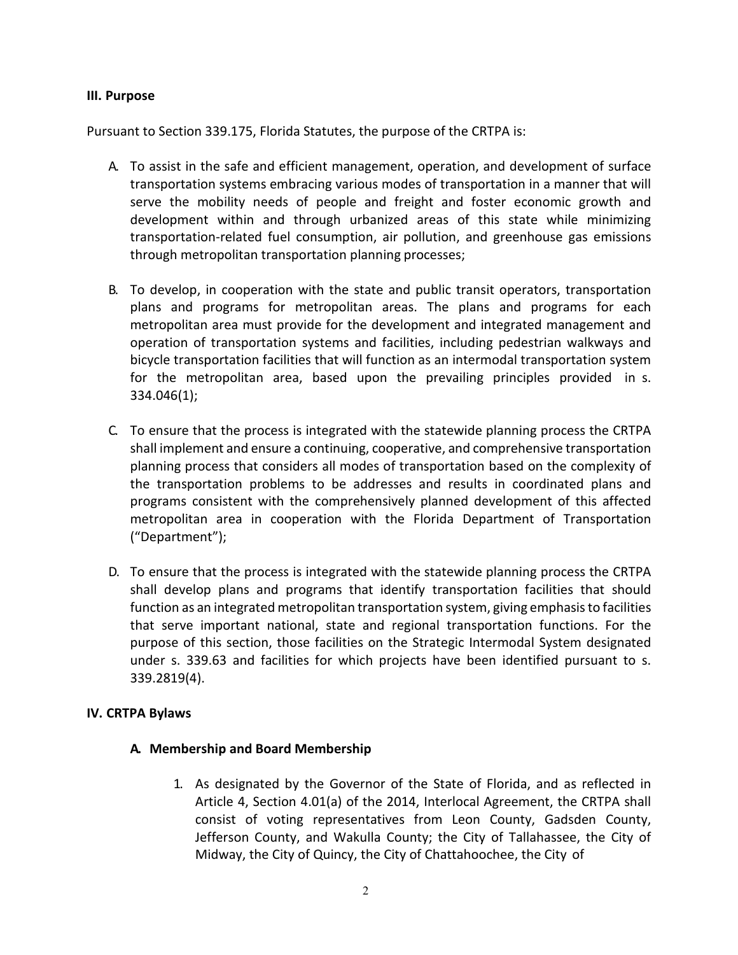#### **III. Purpose**

Pursuant to Section 339.175, Florida Statutes, the purpose of the CRTPA is:

- A. To assist in the safe and efficient management, operation, and development of surface transportation systems embracing various modes of transportation in a manner that will serve the mobility needs of people and freight and foster economic growth and development within and through urbanized areas of this state while minimizing transportation-related fuel consumption, air pollution, and greenhouse gas emissions through metropolitan transportation planning processes;
- B. To develop, in cooperation with the state and public transit operators, transportation plans and programs for metropolitan areas. The plans and programs for each metropolitan area must provide for the development and integrated management and operation of transportation systems and facilities, including pedestrian walkways and bicycle transportation facilities that will function as an intermodal transportation system for the metropolitan area, based upon the prevailing principles provided in s. 334.046(1);
- C. To ensure that the process is integrated with the statewide planning process the CRTPA shall implement and ensure a continuing, cooperative, and comprehensive transportation planning process that considers all modes of transportation based on the complexity of the transportation problems to be addresses and results in coordinated plans and programs consistent with the comprehensively planned development of this affected metropolitan area in cooperation with the Florida Department of Transportation ("Department");
- D. To ensure that the process is integrated with the statewide planning process the CRTPA shall develop plans and programs that identify transportation facilities that should function as an integrated metropolitan transportation system, giving emphasis to facilities that serve important national, state and regional transportation functions. For the purpose of this section, those facilities on the Strategic Intermodal System designated under s. 339.63 and facilities for which projects have been identified pursuant to s. 339.2819(4).

# **IV. CRTPA Bylaws**

# **A. Membership and Board Membership**

1. As designated by the Governor of the State of Florida, and as reflected in Article 4, Section 4.01(a) of the 2014, Interlocal Agreement, the CRTPA shall consist of voting representatives from Leon County, Gadsden County, Jefferson County, and Wakulla County; the City of Tallahassee, the City of Midway, the City of Quincy, the City of Chattahoochee, the City of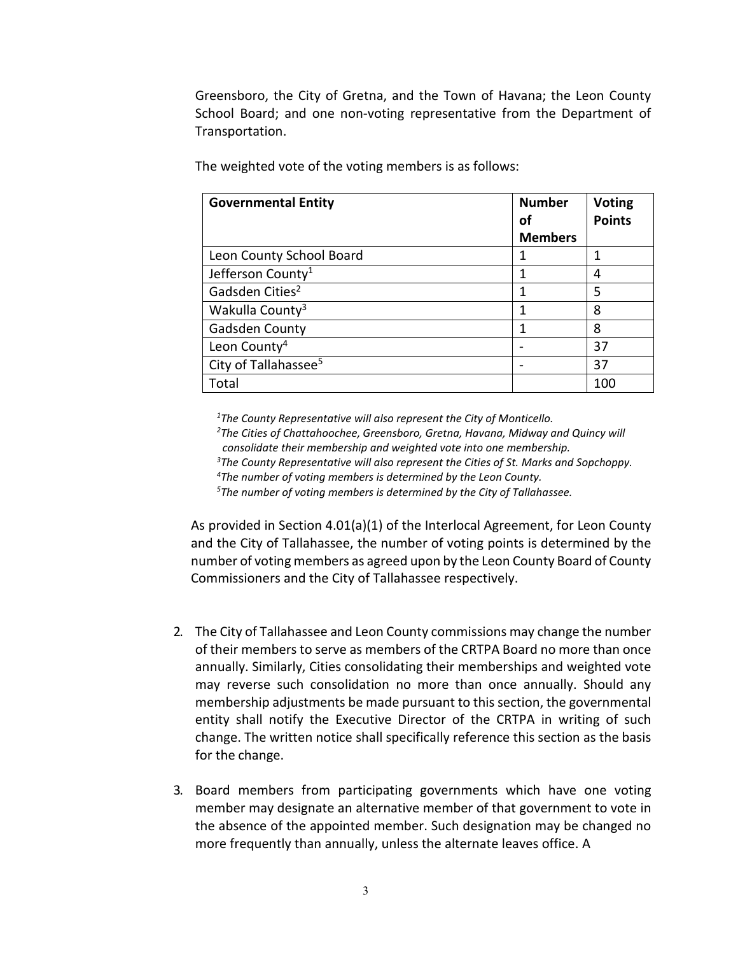Greensboro, the City of Gretna, and the Town of Havana; the Leon County School Board; and one non-voting representative from the Department of Transportation.

| <b>Governmental Entity</b>       | <b>Number</b><br>οf | <b>Voting</b><br><b>Points</b> |
|----------------------------------|---------------------|--------------------------------|
|                                  | <b>Members</b>      |                                |
| Leon County School Board         |                     |                                |
| Jefferson County <sup>1</sup>    |                     |                                |
| Gadsden Cities <sup>2</sup>      |                     | 5                              |
| Wakulla County <sup>3</sup>      |                     | 8                              |
| Gadsden County                   |                     | ጸ                              |
| Leon County <sup>4</sup>         |                     | 37                             |
| City of Tallahassee <sup>5</sup> |                     | 37                             |
| Total                            |                     | 100                            |

The weighted vote of the voting members is as follows:

*1 The County Representative will also represent the City of Monticello.*

*2 The Cities of Chattahoochee, Greensboro, Gretna, Havana, Midway and Quincy will consolidate their membership and weighted vote into one membership.*

*3 The County Representative will also represent the Cities of St. Marks and Sopchoppy.*

*4 The number of voting members is determined by the Leon County.*

*5 The number of voting members is determined by the City of Tallahassee.*

As provided in Section 4.01(a)(1) of the Interlocal Agreement, for Leon County and the City of Tallahassee, the number of voting points is determined by the number of voting members as agreed upon by the Leon County Board of County Commissioners and the City of Tallahassee respectively.

- 2. The City of Tallahassee and Leon County commissions may change the number of their members to serve as members of the CRTPA Board no more than once annually. Similarly, Cities consolidating their memberships and weighted vote may reverse such consolidation no more than once annually. Should any membership adjustments be made pursuant to this section, the governmental entity shall notify the Executive Director of the CRTPA in writing of such change. The written notice shall specifically reference this section as the basis for the change.
- 3. Board members from participating governments which have one voting member may designate an alternative member of that government to vote in the absence of the appointed member. Such designation may be changed no more frequently than annually, unless the alternate leaves office. A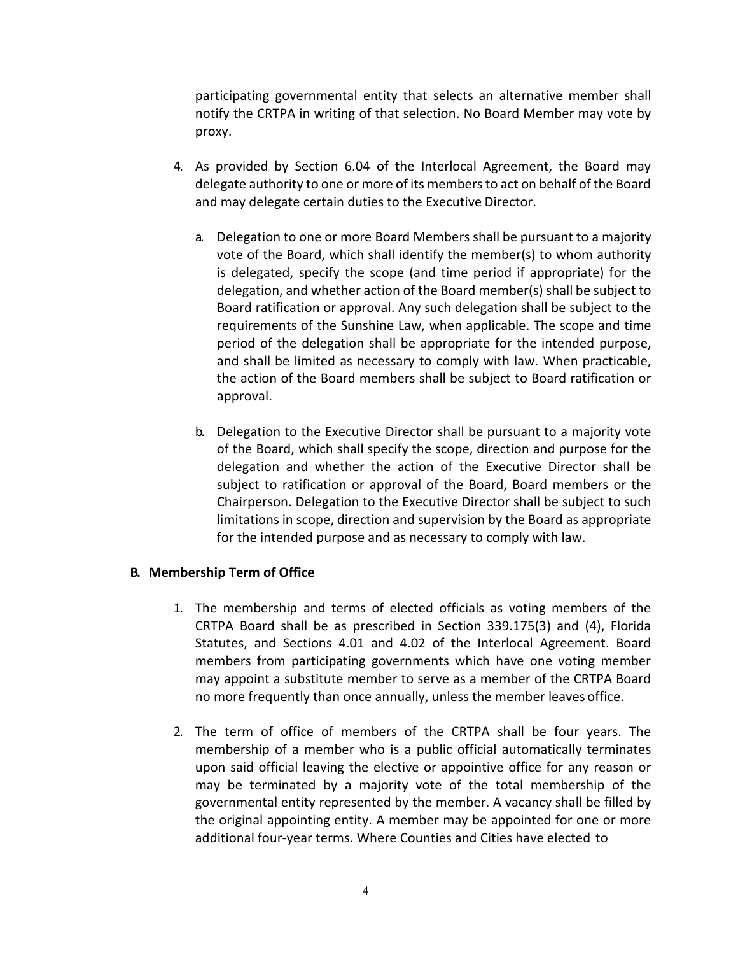participating governmental entity that selects an alternative member shall notify the CRTPA in writing of that selection. No Board Member may vote by proxy.

- 4. As provided by Section 6.04 of the Interlocal Agreement, the Board may delegate authority to one or more of its members to act on behalf of the Board and may delegate certain duties to the Executive Director.
	- a. Delegation to one or more Board Members shall be pursuant to a majority vote of the Board, which shall identify the member(s) to whom authority is delegated, specify the scope (and time period if appropriate) for the delegation, and whether action of the Board member(s) shall be subject to Board ratification or approval. Any such delegation shall be subject to the requirements of the Sunshine Law, when applicable. The scope and time period of the delegation shall be appropriate for the intended purpose, and shall be limited as necessary to comply with law. When practicable, the action of the Board members shall be subject to Board ratification or approval.
	- b. Delegation to the Executive Director shall be pursuant to a majority vote of the Board, which shall specify the scope, direction and purpose for the delegation and whether the action of the Executive Director shall be subject to ratification or approval of the Board, Board members or the Chairperson. Delegation to the Executive Director shall be subject to such limitations in scope, direction and supervision by the Board as appropriate for the intended purpose and as necessary to comply with law.

# **B. Membership Term of Office**

- 1. The membership and terms of elected officials as voting members of the CRTPA Board shall be as prescribed in Section 339.175(3) and (4), Florida Statutes, and Sections 4.01 and 4.02 of the Interlocal Agreement. Board members from participating governments which have one voting member may appoint a substitute member to serve as a member of the CRTPA Board no more frequently than once annually, unless the member leaves office.
- 2. The term of office of members of the CRTPA shall be four years. The membership of a member who is a public official automatically terminates upon said official leaving the elective or appointive office for any reason or may be terminated by a majority vote of the total membership of the governmental entity represented by the member. A vacancy shall be filled by the original appointing entity. A member may be appointed for one or more additional four-year terms. Where Counties and Cities have elected to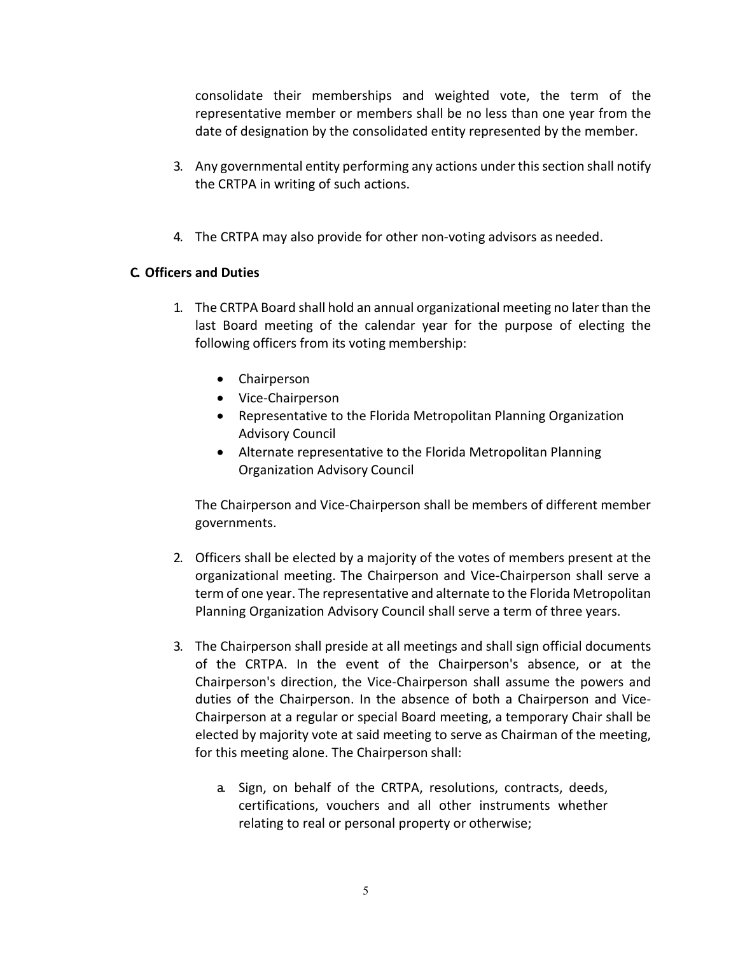consolidate their memberships and weighted vote, the term of the representative member or members shall be no less than one year from the date of designation by the consolidated entity represented by the member.

- 3. Any governmental entity performing any actions under this section shall notify the CRTPA in writing of such actions.
- 4. The CRTPA may also provide for other non-voting advisors as needed.

# **C. Officers and Duties**

- 1. The CRTPA Board shall hold an annual organizational meeting no later than the last Board meeting of the calendar year for the purpose of electing the following officers from its voting membership:
	- Chairperson
	- Vice-Chairperson
	- Representative to the Florida Metropolitan Planning Organization Advisory Council
	- Alternate representative to the Florida Metropolitan Planning Organization Advisory Council

The Chairperson and Vice-Chairperson shall be members of different member governments.

- 2. Officers shall be elected by a majority of the votes of members present at the organizational meeting. The Chairperson and Vice-Chairperson shall serve a term of one year. The representative and alternate to the Florida Metropolitan Planning Organization Advisory Council shall serve a term of three years.
- 3. The Chairperson shall preside at all meetings and shall sign official documents of the CRTPA. In the event of the Chairperson's absence, or at the Chairperson's direction, the Vice-Chairperson shall assume the powers and duties of the Chairperson. In the absence of both a Chairperson and Vice-Chairperson at a regular or special Board meeting, a temporary Chair shall be elected by majority vote at said meeting to serve as Chairman of the meeting, for this meeting alone. The Chairperson shall:
	- a. Sign, on behalf of the CRTPA, resolutions, contracts, deeds, certifications, vouchers and all other instruments whether relating to real or personal property or otherwise;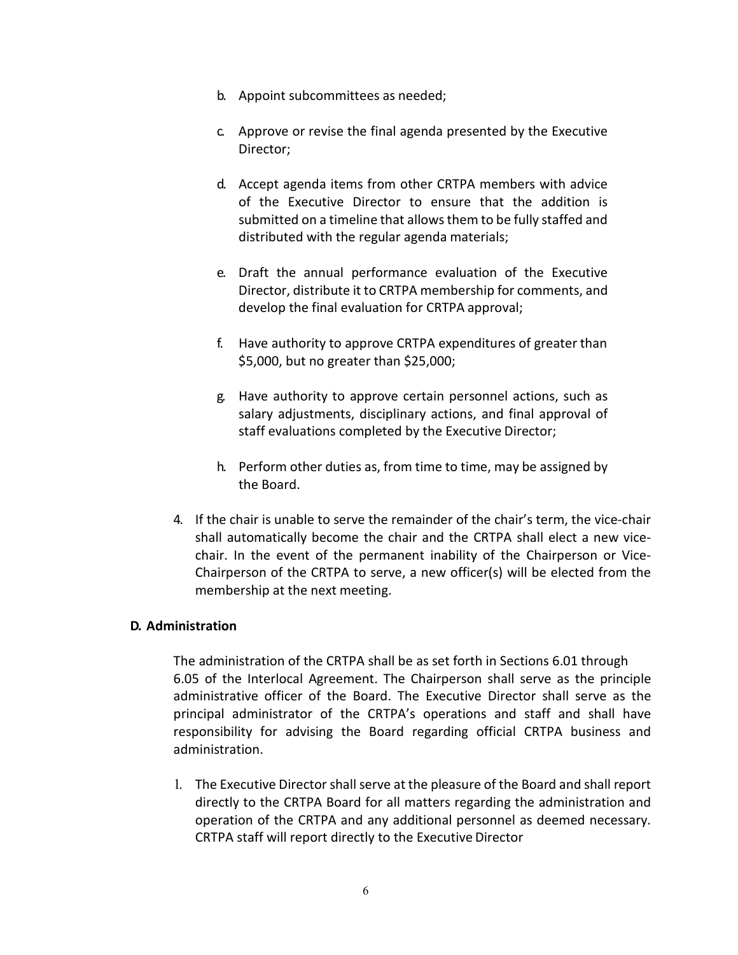- b. Appoint subcommittees as needed;
- c. Approve or revise the final agenda presented by the Executive Director;
- d. Accept agenda items from other CRTPA members with advice of the Executive Director to ensure that the addition is submitted on a timeline that allows them to be fully staffed and distributed with the regular agenda materials;
- e. Draft the annual performance evaluation of the Executive Director, distribute it to CRTPA membership for comments, and develop the final evaluation for CRTPA approval;
- f. Have authority to approve CRTPA expenditures of greater than \$5,000, but no greater than \$25,000;
- g. Have authority to approve certain personnel actions, such as salary adjustments, disciplinary actions, and final approval of staff evaluations completed by the Executive Director;
- h. Perform other duties as, from time to time, may be assigned by the Board.
- 4. If the chair is unable to serve the remainder of the chair's term, the vice-chair shall automatically become the chair and the CRTPA shall elect a new vicechair. In the event of the permanent inability of the Chairperson or Vice-Chairperson of the CRTPA to serve, a new officer(s) will be elected from the membership at the next meeting.

# **D. Administration**

The administration of the CRTPA shall be as set forth in Sections 6.01 through 6.05 of the Interlocal Agreement. The Chairperson shall serve as the principle administrative officer of the Board. The Executive Director shall serve as the principal administrator of the CRTPA's operations and staff and shall have responsibility for advising the Board regarding official CRTPA business and administration.

1. The Executive Director shall serve at the pleasure of the Board and shall report directly to the CRTPA Board for all matters regarding the administration and operation of the CRTPA and any additional personnel as deemed necessary. CRTPA staff will report directly to the Executive Director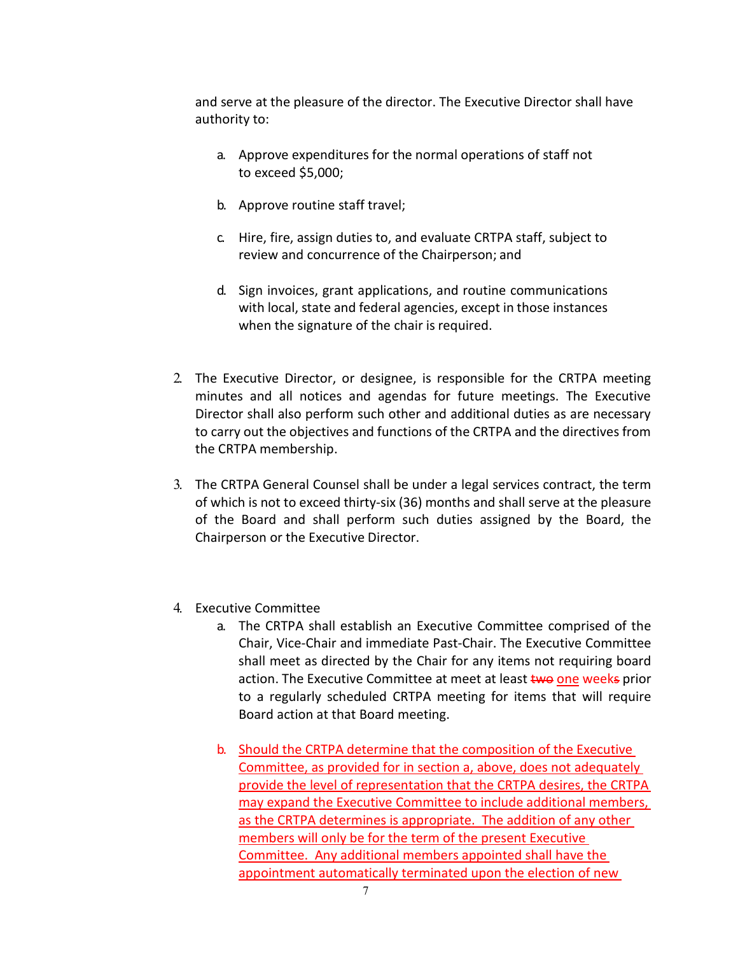and serve at the pleasure of the director. The Executive Director shall have authority to:

- a. Approve expenditures for the normal operations of staff not to exceed \$5,000;
- b. Approve routine staff travel;
- c. Hire, fire, assign duties to, and evaluate CRTPA staff, subject to review and concurrence of the Chairperson; and
- d. Sign invoices, grant applications, and routine communications with local, state and federal agencies, except in those instances when the signature of the chair is required.
- 2. The Executive Director, or designee, is responsible for the CRTPA meeting minutes and all notices and agendas for future meetings. The Executive Director shall also perform such other and additional duties as are necessary to carry out the objectives and functions of the CRTPA and the directives from the CRTPA membership.
- 3. The CRTPA General Counsel shall be under a legal services contract, the term of which is not to exceed thirty-six (36) months and shall serve at the pleasure of the Board and shall perform such duties assigned by the Board, the Chairperson or the Executive Director.
- 4. Executive Committee
	- a. The CRTPA shall establish an Executive Committee comprised of the Chair, Vice-Chair and immediate Past-Chair. The Executive Committee shall meet as directed by the Chair for any items not requiring board action. The Executive Committee at meet at least two one weeks prior to a regularly scheduled CRTPA meeting for items that will require Board action at that Board meeting.
	- b. Should the CRTPA determine that the composition of the Executive Committee, as provided for in section a, above, does not adequately provide the level of representation that the CRTPA desires, the CRTPA may expand the Executive Committee to include additional members, as the CRTPA determines is appropriate. The addition of any other members will only be for the term of the present Executive Committee. Any additional members appointed shall have the appointment automatically terminated upon the election of new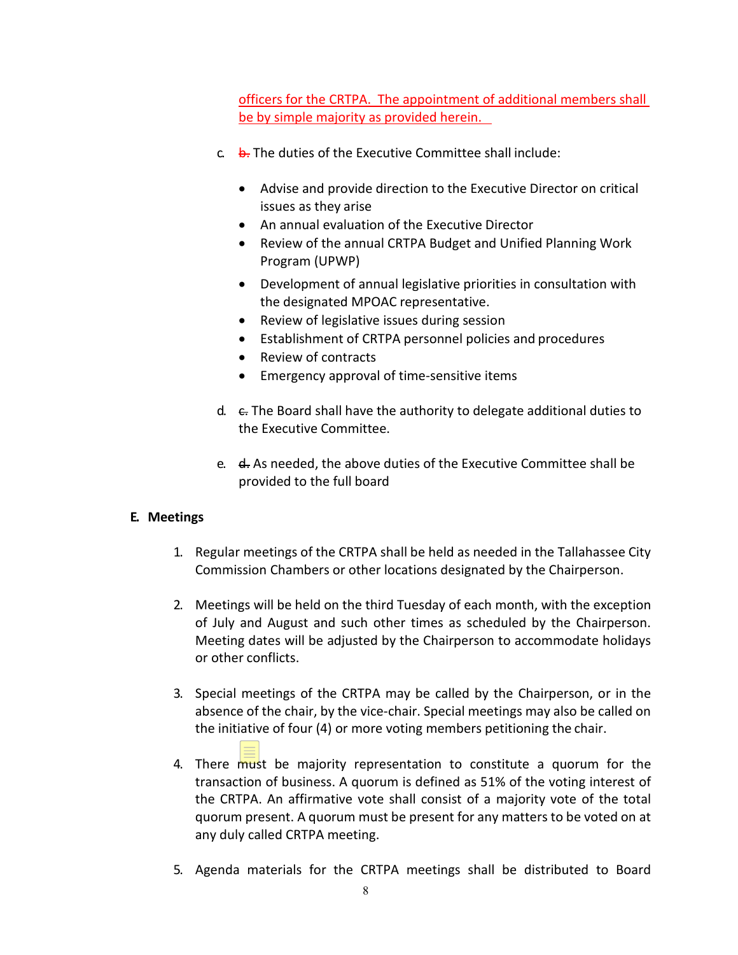officers for the CRTPA. The appointment of additional members shall be by simple majority as provided herein.

- $c$  b. The duties of the Executive Committee shall include:
	- Advise and provide direction to the Executive Director on critical issues as they arise
	- An annual evaluation of the Executive Director
	- Review of the annual CRTPA Budget and Unified Planning Work Program (UPWP)
	- Development of annual legislative priorities in consultation with the designated MPOAC representative.
	- Review of legislative issues during session
	- Establishment of CRTPA personnel policies and procedures
	- Review of contracts
	- Emergency approval of time-sensitive items
- d.  $\epsilon$ . The Board shall have the authority to delegate additional duties to the Executive Committee.
- e.  $\theta$ . As needed, the above duties of the Executive Committee shall be provided to the full board

# **E. Meetings**

- 1. Regular meetings of the CRTPA shall be held as needed in the Tallahassee City Commission Chambers or other locations designated by the Chairperson.
- 2. Meetings will be held on the third Tuesday of each month, with the exception of July and August and such other times as scheduled by the Chairperson. Meeting dates will be adjusted by the Chairperson to accommodate holidays or other conflicts.
- 3. Special meetings of the CRTPA may be called by the Chairperson, or in the absence of the chair, by the vice-chair. Special meetings may also be called on the initiative of four (4) or more voting members petitioning the chair.
- 4. There must be majority representation to constitute a quorum for the transaction of business. A quorum is defined as 51% of the voting interest of the CRTPA. An affirmative vote shall consist of a majority vote of the total quorum present. A quorum must be present for any matters to be voted on at any duly called CRTPA meeting.
- 5. Agenda materials for the CRTPA meetings shall be distributed to Board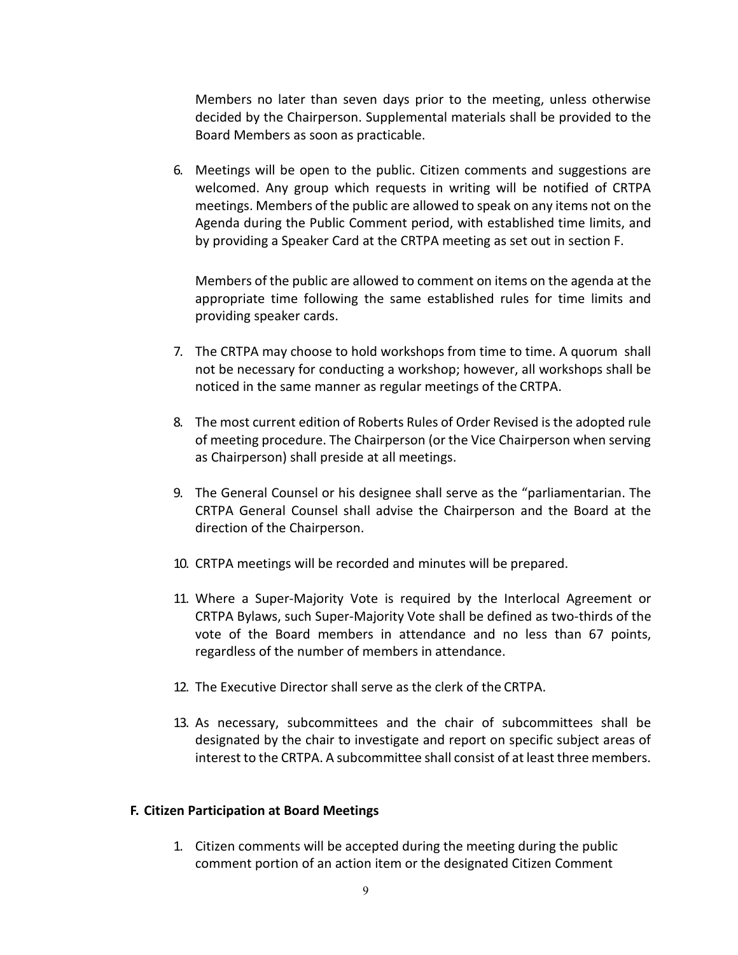Members no later than seven days prior to the meeting, unless otherwise decided by the Chairperson. Supplemental materials shall be provided to the Board Members as soon as practicable.

6. Meetings will be open to the public. Citizen comments and suggestions are welcomed. Any group which requests in writing will be notified of CRTPA meetings. Members of the public are allowed to speak on any items not on the Agenda during the Public Comment period, with established time limits, and by providing a Speaker Card at the CRTPA meeting as set out in section F.

Members of the public are allowed to comment on items on the agenda at the appropriate time following the same established rules for time limits and providing speaker cards.

- 7. The CRTPA may choose to hold workshops from time to time. A quorum shall not be necessary for conducting a workshop; however, all workshops shall be noticed in the same manner as regular meetings of the CRTPA.
- 8. The most current edition of Roberts Rules of Order Revised is the adopted rule of meeting procedure. The Chairperson (or the Vice Chairperson when serving as Chairperson) shall preside at all meetings.
- 9. The General Counsel or his designee shall serve as the "parliamentarian. The CRTPA General Counsel shall advise the Chairperson and the Board at the direction of the Chairperson.
- 10. CRTPA meetings will be recorded and minutes will be prepared.
- 11. Where a Super-Majority Vote is required by the Interlocal Agreement or CRTPA Bylaws, such Super-Majority Vote shall be defined as two-thirds of the vote of the Board members in attendance and no less than 67 points, regardless of the number of members in attendance.
- 12. The Executive Director shall serve as the clerk of the CRTPA.
- 13. As necessary, subcommittees and the chair of subcommittees shall be designated by the chair to investigate and report on specific subject areas of interest to the CRTPA. A subcommittee shall consist of at least three members.

#### **F. Citizen Participation at Board Meetings**

1. Citizen comments will be accepted during the meeting during the public comment portion of an action item or the designated Citizen Comment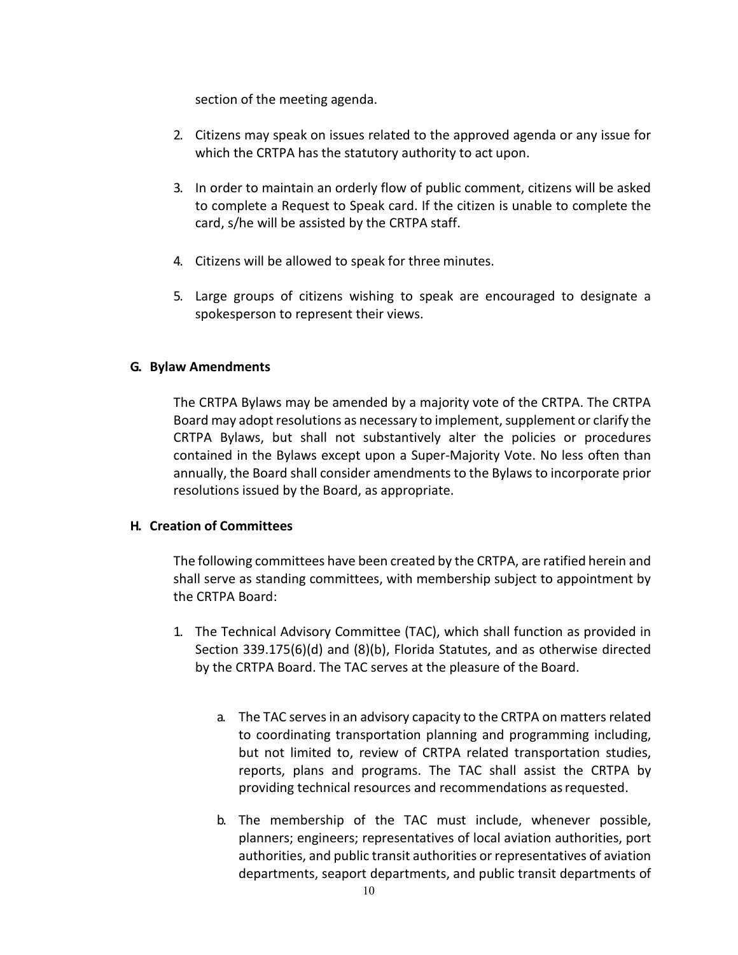section of the meeting agenda.

- 2. Citizens may speak on issues related to the approved agenda or any issue for which the CRTPA has the statutory authority to act upon.
- 3. In order to maintain an orderly flow of public comment, citizens will be asked to complete a Request to Speak card. If the citizen is unable to complete the card, s/he will be assisted by the CRTPA staff.
- 4. Citizens will be allowed to speak for three minutes.
- 5. Large groups of citizens wishing to speak are encouraged to designate a spokesperson to represent their views.

# **G. Bylaw Amendments**

The CRTPA Bylaws may be amended by a majority vote of the CRTPA. The CRTPA Board may adopt resolutions as necessary to implement, supplement or clarify the CRTPA Bylaws, but shall not substantively alter the policies or procedures contained in the Bylaws except upon a Super-Majority Vote. No less often than annually, the Board shall consider amendments to the Bylaws to incorporate prior resolutions issued by the Board, as appropriate.

# **H. Creation of Committees**

The following committees have been created by the CRTPA, are ratified herein and shall serve as standing committees, with membership subject to appointment by the CRTPA Board:

- 1. The Technical Advisory Committee (TAC), which shall function as provided in Section 339.175(6)(d) and (8)(b), Florida Statutes, and as otherwise directed by the CRTPA Board. The TAC serves at the pleasure of the Board.
	- a. The TAC serves in an advisory capacity to the CRTPA on matters related to coordinating transportation planning and programming including, but not limited to, review of CRTPA related transportation studies, reports, plans and programs. The TAC shall assist the CRTPA by providing technical resources and recommendations as requested.
	- b. The membership of the TAC must include, whenever possible, planners; engineers; representatives of local aviation authorities, port authorities, and public transit authorities or representatives of aviation departments, seaport departments, and public transit departments of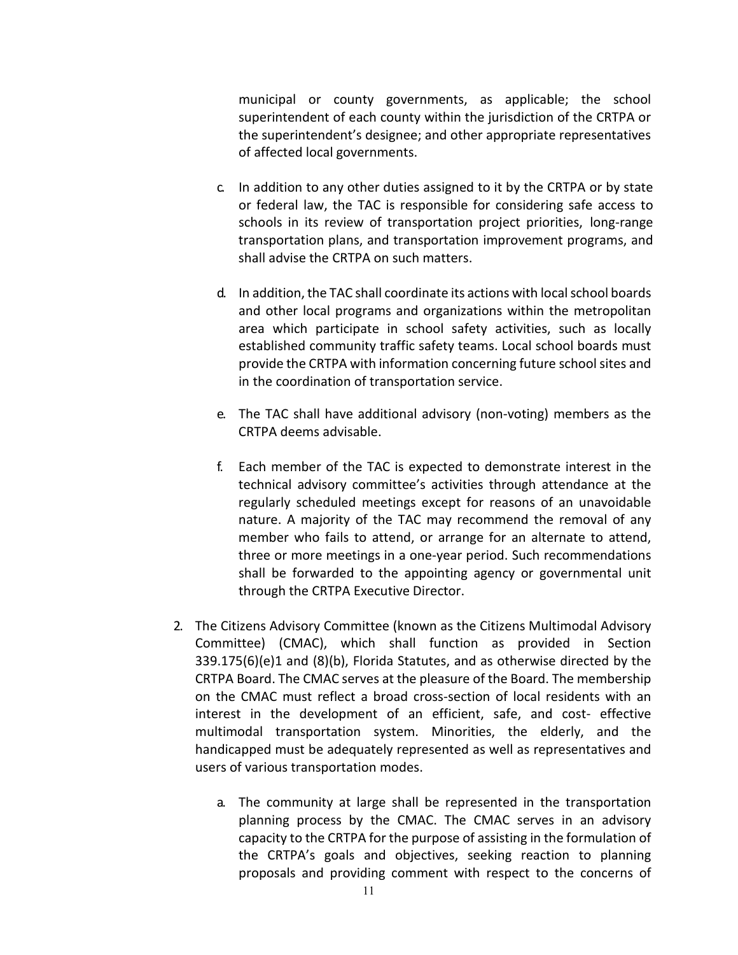municipal or county governments, as applicable; the school superintendent of each county within the jurisdiction of the CRTPA or the superintendent's designee; and other appropriate representatives of affected local governments.

- c. In addition to any other duties assigned to it by the CRTPA or by state or federal law, the TAC is responsible for considering safe access to schools in its review of transportation project priorities, long-range transportation plans, and transportation improvement programs, and shall advise the CRTPA on such matters.
- d. In addition, the TAC shall coordinate its actions with local school boards and other local programs and organizations within the metropolitan area which participate in school safety activities, such as locally established community traffic safety teams. Local school boards must provide the CRTPA with information concerning future school sites and in the coordination of transportation service.
- e. The TAC shall have additional advisory (non-voting) members as the CRTPA deems advisable.
- f. Each member of the TAC is expected to demonstrate interest in the technical advisory committee's activities through attendance at the regularly scheduled meetings except for reasons of an unavoidable nature. A majority of the TAC may recommend the removal of any member who fails to attend, or arrange for an alternate to attend, three or more meetings in a one-year period. Such recommendations shall be forwarded to the appointing agency or governmental unit through the CRTPA Executive Director.
- 2. The Citizens Advisory Committee (known as the Citizens Multimodal Advisory Committee) (CMAC), which shall function as provided in Section 339.175(6)(e)1 and (8)(b), Florida Statutes, and as otherwise directed by the CRTPA Board. The CMAC serves at the pleasure of the Board. The membership on the CMAC must reflect a broad cross-section of local residents with an interest in the development of an efficient, safe, and cost- effective multimodal transportation system. Minorities, the elderly, and the handicapped must be adequately represented as well as representatives and users of various transportation modes.
	- a. The community at large shall be represented in the transportation planning process by the CMAC. The CMAC serves in an advisory capacity to the CRTPA for the purpose of assisting in the formulation of the CRTPA's goals and objectives, seeking reaction to planning proposals and providing comment with respect to the concerns of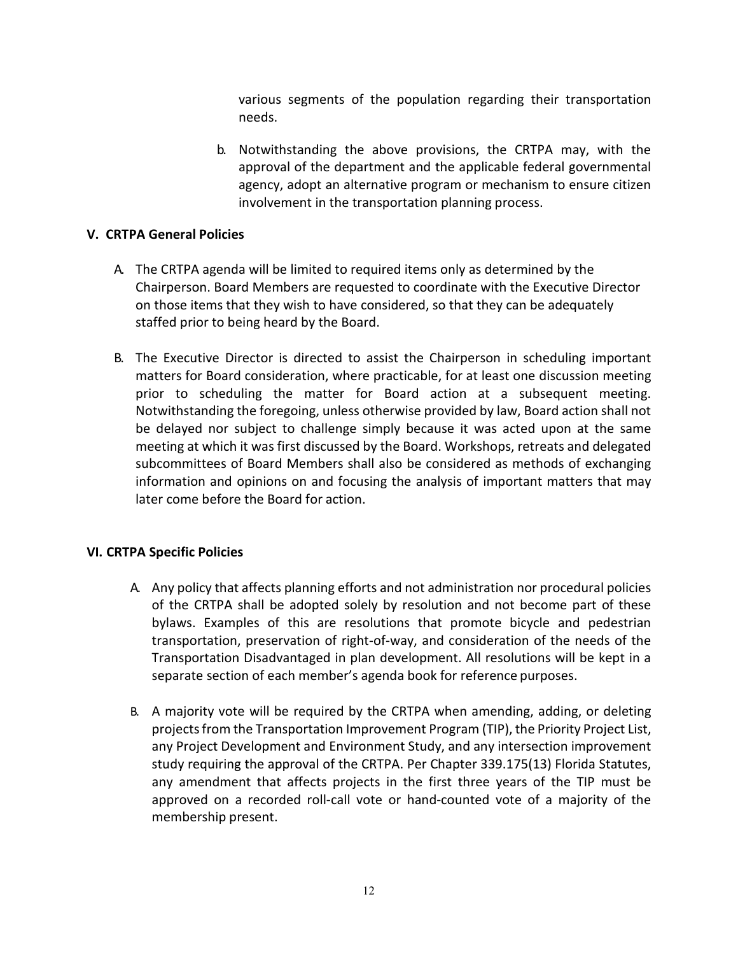various segments of the population regarding their transportation needs.

b. Notwithstanding the above provisions, the CRTPA may, with the approval of the department and the applicable federal governmental agency, adopt an alternative program or mechanism to ensure citizen involvement in the transportation planning process.

# **V. CRTPA General Policies**

- A. The CRTPA agenda will be limited to required items only as determined by the Chairperson. Board Members are requested to coordinate with the Executive Director on those items that they wish to have considered, so that they can be adequately staffed prior to being heard by the Board.
- B. The Executive Director is directed to assist the Chairperson in scheduling important matters for Board consideration, where practicable, for at least one discussion meeting prior to scheduling the matter for Board action at a subsequent meeting. Notwithstanding the foregoing, unless otherwise provided by law, Board action shall not be delayed nor subject to challenge simply because it was acted upon at the same meeting at which it was first discussed by the Board. Workshops, retreats and delegated subcommittees of Board Members shall also be considered as methods of exchanging information and opinions on and focusing the analysis of important matters that may later come before the Board for action.

#### **VI. CRTPA Specific Policies**

- A. Any policy that affects planning efforts and not administration nor procedural policies of the CRTPA shall be adopted solely by resolution and not become part of these bylaws. Examples of this are resolutions that promote bicycle and pedestrian transportation, preservation of right-of-way, and consideration of the needs of the Transportation Disadvantaged in plan development. All resolutions will be kept in a separate section of each member's agenda book for reference purposes.
- B. A majority vote will be required by the CRTPA when amending, adding, or deleting projects from the Transportation Improvement Program (TIP), the Priority Project List, any Project Development and Environment Study, and any intersection improvement study requiring the approval of the CRTPA. Per Chapter 339.175(13) Florida Statutes, any amendment that affects projects in the first three years of the TIP must be approved on a recorded roll-call vote or hand-counted vote of a majority of the membership present.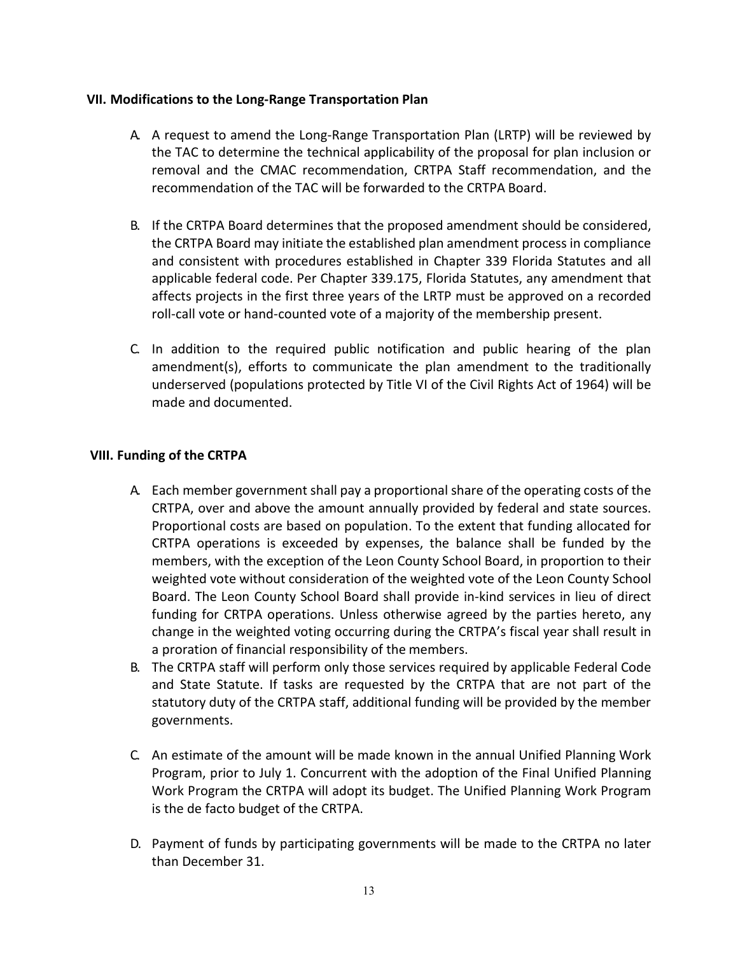# **VII. Modifications to the Long-Range Transportation Plan**

- A. A request to amend the Long-Range Transportation Plan (LRTP) will be reviewed by the TAC to determine the technical applicability of the proposal for plan inclusion or removal and the CMAC recommendation, CRTPA Staff recommendation, and the recommendation of the TAC will be forwarded to the CRTPA Board.
- B. If the CRTPA Board determines that the proposed amendment should be considered, the CRTPA Board may initiate the established plan amendment process in compliance and consistent with procedures established in Chapter 339 Florida Statutes and all applicable federal code. Per Chapter 339.175, Florida Statutes, any amendment that affects projects in the first three years of the LRTP must be approved on a recorded roll-call vote or hand-counted vote of a majority of the membership present.
- C. In addition to the required public notification and public hearing of the plan amendment(s), efforts to communicate the plan amendment to the traditionally underserved (populations protected by Title VI of the Civil Rights Act of 1964) will be made and documented.

# **VIII. Funding of the CRTPA**

- A. Each member government shall pay a proportional share of the operating costs of the CRTPA, over and above the amount annually provided by federal and state sources. Proportional costs are based on population. To the extent that funding allocated for CRTPA operations is exceeded by expenses, the balance shall be funded by the members, with the exception of the Leon County School Board, in proportion to their weighted vote without consideration of the weighted vote of the Leon County School Board. The Leon County School Board shall provide in-kind services in lieu of direct funding for CRTPA operations. Unless otherwise agreed by the parties hereto, any change in the weighted voting occurring during the CRTPA's fiscal year shall result in a proration of financial responsibility of the members.
- B. The CRTPA staff will perform only those services required by applicable Federal Code and State Statute. If tasks are requested by the CRTPA that are not part of the statutory duty of the CRTPA staff, additional funding will be provided by the member governments.
- C. An estimate of the amount will be made known in the annual Unified Planning Work Program, prior to July 1. Concurrent with the adoption of the Final Unified Planning Work Program the CRTPA will adopt its budget. The Unified Planning Work Program is the de facto budget of the CRTPA.
- D. Payment of funds by participating governments will be made to the CRTPA no later than December 31.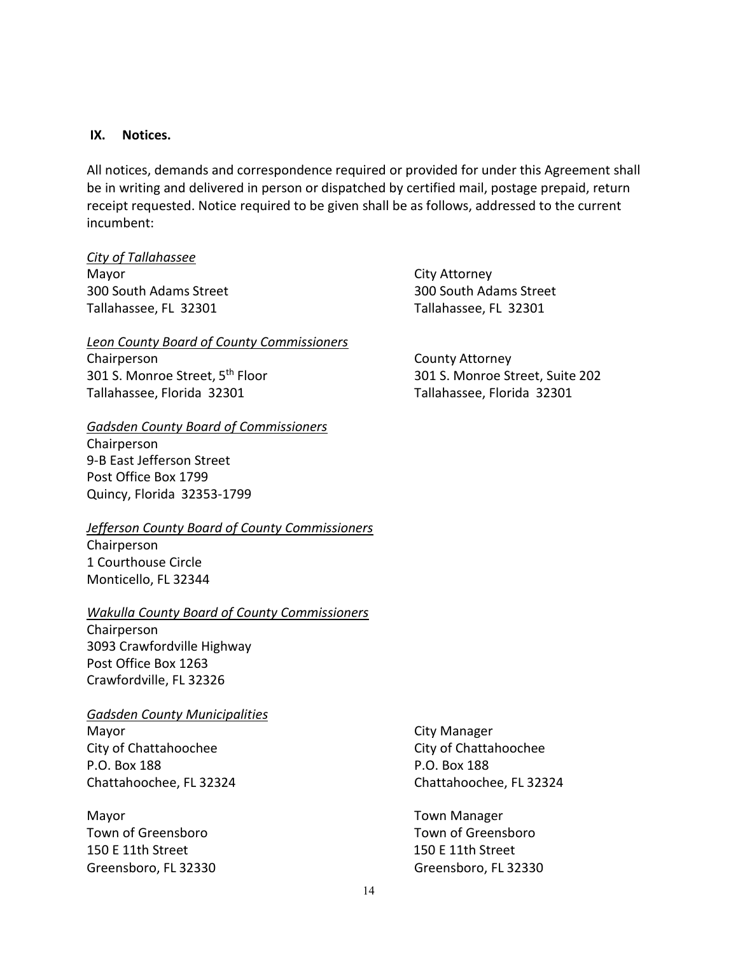#### **IX. Notices.**

All notices, demands and correspondence required or provided for under this Agreement shall be in writing and delivered in person or dispatched by certified mail, postage prepaid, return receipt requested. Notice required to be given shall be as follows, addressed to the current incumbent:

#### *City of Tallahassee*

Mayor City Attorney 300 South Adams Street 300 South Adams Street Tallahassee, FL 32301 Tallahassee, FL 32301

#### *Leon County Board of County Commissioners*

Chairperson County Attorney Tallahassee, Florida 32301 Tallahassee, Florida 32301

#### *Gadsden County Board of Commissioners*

Chairperson 9-B East Jefferson Street Post Office Box 1799 Quincy, Florida 32353-1799

#### *Jefferson County Board of County Commissioners*

Chairperson 1 Courthouse Circle Monticello, FL 32344

#### *Wakulla County Board of County Commissioners*

Chairperson 3093 Crawfordville Highway Post Office Box 1263 Crawfordville, FL 32326

#### *Gadsden County Municipalities*

Mayor **Mayor** City Manager City of Chattahoochee City of Chattahoochee P.O. Box 188 P.O. Box 188 Chattahoochee, FL 32324 Chattahoochee, FL 32324

Mayor **Manager** Manager Manager Town of Greensboro Town of Greensboro 150 E 11th Street 150 E 11th Street Greensboro, FL 32330 Greensboro, FL 32330

301 S. Monroe Street, 5th Floor 301 S. Monroe Street, Suite 202